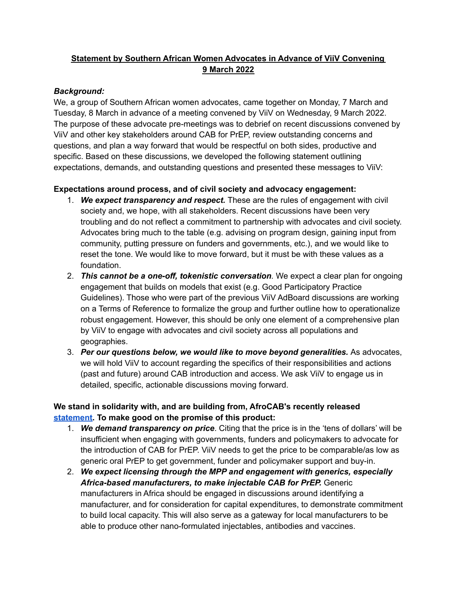### **Statement by Southern African Women Advocates in Advance of ViiV Convening 9 March 2022**

#### *Background:*

We, a group of Southern African women advocates, came together on Monday, 7 March and Tuesday, 8 March in advance of a meeting convened by ViiV on Wednesday, 9 March 2022. The purpose of these advocate pre-meetings was to debrief on recent discussions convened by ViiV and other key stakeholders around CAB for PrEP, review outstanding concerns and questions, and plan a way forward that would be respectful on both sides, productive and specific. Based on these discussions, we developed the following statement outlining expectations, demands, and outstanding questions and presented these messages to ViiV:

#### **Expectations around process, and of civil society and advocacy engagement:**

- 1. *We expect transparency and respect.* These are the rules of engagement with civil society and, we hope, with all stakeholders. Recent discussions have been very troubling and do not reflect a commitment to partnership with advocates and civil society. Advocates bring much to the table (e.g. advising on program design, gaining input from community, putting pressure on funders and governments, etc.), and we would like to reset the tone. We would like to move forward, but it must be with these values as a foundation.
- 2. *This cannot be a one-off, tokenistic conversation.* We expect a clear plan for ongoing engagement that builds on models that exist (e.g. Good Participatory Practice Guidelines). Those who were part of the previous ViiV AdBoard discussions are working on a Terms of Reference to formalize the group and further outline how to operationalize robust engagement. However, this should be only one element of a comprehensive plan by ViiV to engage with advocates and civil society across all populations and geographies.
- 3. *Per our questions below, we would like to move beyond generalities.* As advocates, we will hold ViiV to account regarding the specifics of their responsibilities and actions (past and future) around CAB introduction and access. We ask ViiV to engage us in detailed, specific, actionable discussions moving forward.

## **We stand in solidarity with, and are building from, AfroCAB's recently released [statement.](http://www.afrocab.info/wp-content/uploads/2022/03/CAB-LA-Community-Statement-Final.pdf) To make good on the promise of this product:**

- 1. *We demand transparency on price*. Citing that the price is in the 'tens of dollars' will be insufficient when engaging with governments, funders and policymakers to advocate for the introduction of CAB for PrEP. ViiV needs to get the price to be comparable/as low as generic oral PrEP to get government, funder and policymaker support and buy-in.
- 2. *We expect licensing through the MPP and engagement with generics, especially Africa-based manufacturers, to make injectable CAB for PrEP.* Generic manufacturers in Africa should be engaged in discussions around identifying a manufacturer, and for consideration for capital expenditures, to demonstrate commitment to build local capacity. This will also serve as a gateway for local manufacturers to be able to produce other nano-formulated injectables, antibodies and vaccines.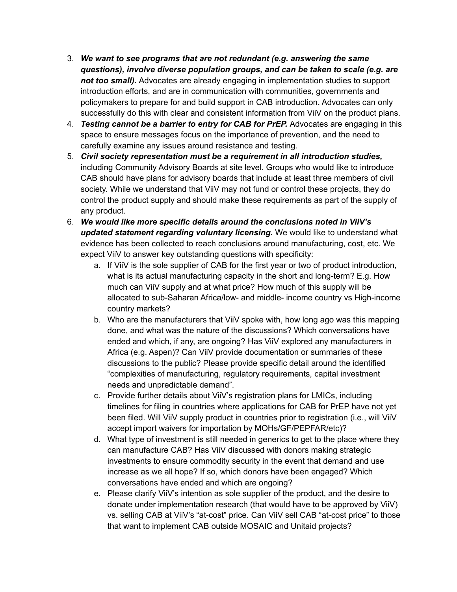- 3. *We want to see programs that are not redundant (e.g. answering the same questions), involve diverse population groups, and can be taken to scale (e.g. are not too small).* Advocates are already engaging in implementation studies to support introduction efforts, and are in communication with communities, governments and policymakers to prepare for and build support in CAB introduction. Advocates can only successfully do this with clear and consistent information from ViiV on the product plans.
- 4. *Testing cannot be a barrier to entry for CAB for PrEP.* Advocates are engaging in this space to ensure messages focus on the importance of prevention, and the need to carefully examine any issues around resistance and testing.
- 5. *Civil society representation must be a requirement in all introduction studies,* including Community Advisory Boards at site level. Groups who would like to introduce CAB should have plans for advisory boards that include at least three members of civil society. While we understand that ViiV may not fund or control these projects, they do control the product supply and should make these requirements as part of the supply of any product.
- 6. *We would like more specific details around the conclusions noted in ViiV's updated statement regarding voluntary licensing.* We would like to understand what evidence has been collected to reach conclusions around manufacturing, cost, etc. We expect ViiV to answer key outstanding questions with specificity:
	- a. If ViiV is the sole supplier of CAB for the first year or two of product introduction, what is its actual manufacturing capacity in the short and long-term? E.g. How much can ViiV supply and at what price? How much of this supply will be allocated to sub-Saharan Africa/low- and middle- income country vs High-income country markets?
	- b. Who are the manufacturers that ViiV spoke with, how long ago was this mapping done, and what was the nature of the discussions? Which conversations have ended and which, if any, are ongoing? Has ViiV explored any manufacturers in Africa (e.g. Aspen)? Can ViiV provide documentation or summaries of these discussions to the public? Please provide specific detail around the identified "complexities of manufacturing, regulatory requirements, capital investment needs and unpredictable demand".
	- c. Provide further details about ViiV's registration plans for LMICs, including timelines for filing in countries where applications for CAB for PrEP have not yet been filed. Will ViiV supply product in countries prior to registration (i.e., will ViiV accept import waivers for importation by MOHs/GF/PEPFAR/etc)?
	- d. What type of investment is still needed in generics to get to the place where they can manufacture CAB? Has ViiV discussed with donors making strategic investments to ensure commodity security in the event that demand and use increase as we all hope? If so, which donors have been engaged? Which conversations have ended and which are ongoing?
	- e. Please clarify ViiV's intention as sole supplier of the product, and the desire to donate under implementation research (that would have to be approved by ViiV) vs. selling CAB at ViiV's "at-cost" price. Can ViiV sell CAB "at-cost price" to those that want to implement CAB outside MOSAIC and Unitaid projects?